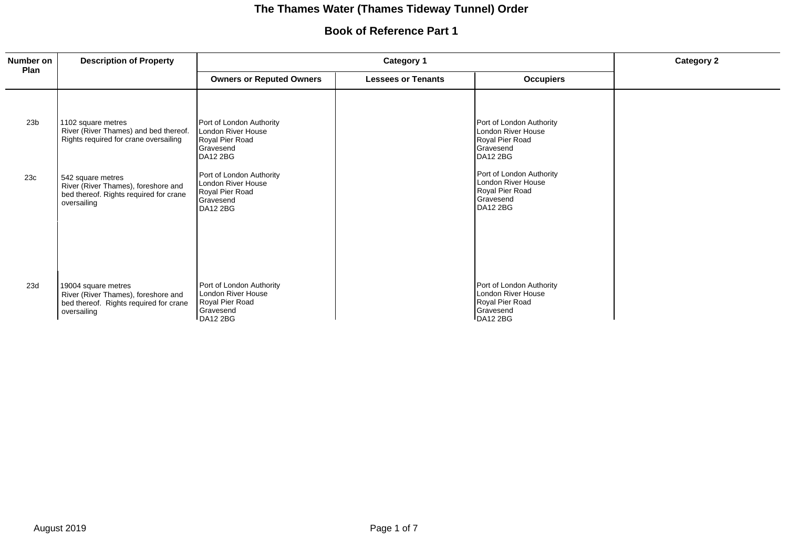# **The Thames Water (Thames Tideway Tunnel) Order**

### **Book of Reference Part 1**

| Number on       | <b>Description of Property</b>                                                                                      | Category 1                                                                                 |                           |                                                                                                   | <b>Category 2</b> |
|-----------------|---------------------------------------------------------------------------------------------------------------------|--------------------------------------------------------------------------------------------|---------------------------|---------------------------------------------------------------------------------------------------|-------------------|
| Plan            |                                                                                                                     | <b>Owners or Reputed Owners</b>                                                            | <b>Lessees or Tenants</b> | <b>Occupiers</b>                                                                                  |                   |
| 23 <sub>b</sub> | 1102 square metres<br>River (River Thames) and bed thereof.<br>Rights required for crane oversailing                | Port of London Authority<br>London River House<br>Royal Pier Road<br>Gravesend<br>DA12 2BG |                           | Port of London Authority<br>London River House<br>Royal Pier Road<br>Gravesend<br>DA12 2BG        |                   |
| 23c             | 542 square metres<br>River (River Thames), foreshore and<br>bed thereof. Rights required for crane<br>oversailing   | Port of London Authority<br>London River House<br>Royal Pier Road<br>Gravesend<br>DA12 2BG |                           | Port of London Authority<br>London River House<br>Royal Pier Road<br>Gravesend<br>DA12 2BG        |                   |
| 23d             | 19004 square metres<br>River (River Thames), foreshore and<br>bed thereof. Rights required for crane<br>oversailing | Port of London Authority<br>London River House<br>Royal Pier Road<br>Gravesend<br>DA12 2BG |                           | Port of London Authority<br><b>London River House</b><br>Royal Pier Road<br>Gravesend<br>DA12 2BG |                   |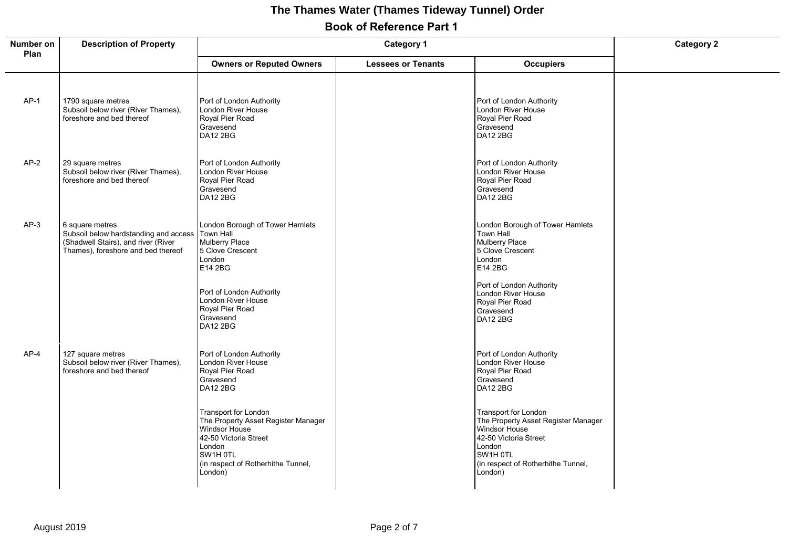## **Book of Reference Part 1 The Thames Water (Thames Tideway Tunnel) Order**

| Number on<br>Plan | <b>Description of Property</b><br><b>Category 1</b>                                                                                             |                                                                                                                                                                                     |                           | <b>Category 2</b>                                                                                                                                                            |  |
|-------------------|-------------------------------------------------------------------------------------------------------------------------------------------------|-------------------------------------------------------------------------------------------------------------------------------------------------------------------------------------|---------------------------|------------------------------------------------------------------------------------------------------------------------------------------------------------------------------|--|
|                   |                                                                                                                                                 | <b>Owners or Reputed Owners</b>                                                                                                                                                     | <b>Lessees or Tenants</b> | <b>Occupiers</b>                                                                                                                                                             |  |
| $AP-1$            | 1790 square metres<br>Subsoil below river (River Thames),<br>foreshore and bed thereof                                                          | Port of London Authority<br><b>London River House</b><br>Royal Pier Road<br>Gravesend<br><b>DA12 2BG</b>                                                                            |                           | Port of London Authority<br>London River House<br>Royal Pier Road<br>Gravesend<br><b>DA12 2BG</b>                                                                            |  |
| $AP-2$            | 29 square metres<br>Subsoil below river (River Thames),<br>foreshore and bed thereof                                                            | Port of London Authority<br>London River House<br>Royal Pier Road<br>Gravesend<br><b>DA12 2BG</b>                                                                                   |                           | Port of London Authority<br>London River House<br>Royal Pier Road<br>Gravesend<br><b>DA12 2BG</b>                                                                            |  |
| $AP-3$            | 6 square metres<br>Subsoil below hardstanding and access Town Hall<br>(Shadwell Stairs), and river (River<br>Thames), foreshore and bed thereof | London Borough of Tower Hamlets<br>Mulberry Place<br>5 Clove Crescent<br>London<br>E14 2BG                                                                                          |                           | London Borough of Tower Hamlets<br>Town Hall<br>Mulberry Place<br>5 Clove Crescent<br>London<br>E14 2BG                                                                      |  |
|                   |                                                                                                                                                 | Port of London Authority<br>London River House<br>Royal Pier Road<br>Gravesend<br><b>DA12 2BG</b>                                                                                   |                           | Port of London Authority<br>London River House<br>Royal Pier Road<br>Gravesend<br><b>DA12 2BG</b>                                                                            |  |
| $AP-4$            | 127 square metres<br>Subsoil below river (River Thames),<br>foreshore and bed thereof                                                           | Port of London Authority<br>London River House<br>Royal Pier Road<br>Gravesend<br><b>DA12 2BG</b>                                                                                   |                           | Port of London Authority<br>London River House<br>Royal Pier Road<br>Gravesend<br><b>DA12 2BG</b>                                                                            |  |
|                   |                                                                                                                                                 | Transport for London<br>The Property Asset Register Manager<br><b>Windsor House</b><br>42-50 Victoria Street<br>London<br>SW1H 0TL<br>(in respect of Rotherhithe Tunnel,<br>London) |                           | Transport for London<br>The Property Asset Register Manager<br>Windsor House<br>42-50 Victoria Street<br>London<br>SW1H OTL<br>(in respect of Rotherhithe Tunnel,<br>London) |  |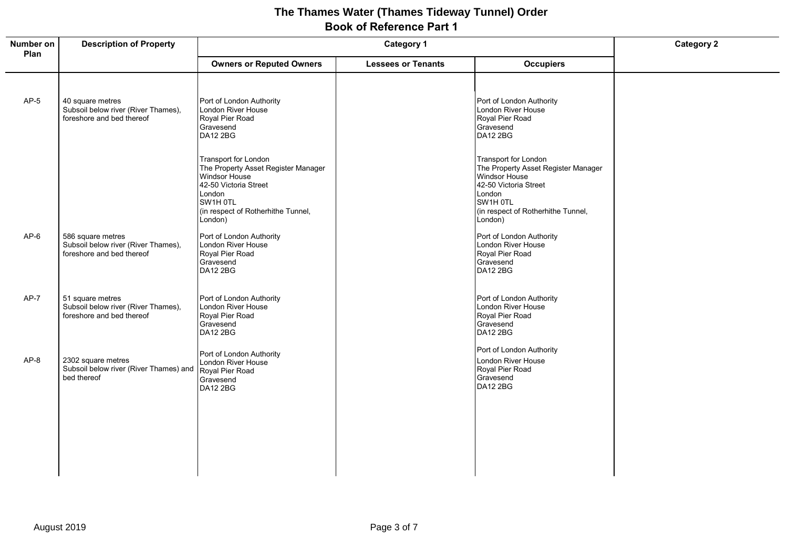### **Book of Reference Part 1 The Thames Water (Thames Tideway Tunnel) Order**

| Number on<br>Plan | <b>Description of Property</b>                                                        | <b>Category 1</b>                                                                                                                                                            |                           | <b>Category 2</b>                                                                                                                                                                   |  |
|-------------------|---------------------------------------------------------------------------------------|------------------------------------------------------------------------------------------------------------------------------------------------------------------------------|---------------------------|-------------------------------------------------------------------------------------------------------------------------------------------------------------------------------------|--|
|                   |                                                                                       | <b>Owners or Reputed Owners</b>                                                                                                                                              | <b>Lessees or Tenants</b> | <b>Occupiers</b>                                                                                                                                                                    |  |
| $AP-5$            | 40 square metres<br>Subsoil below river (River Thames),<br>foreshore and bed thereof  | Port of London Authority<br>London River House<br>Royal Pier Road<br>Gravesend<br>DA12 2BG                                                                                   |                           | Port of London Authority<br>London River House<br>Royal Pier Road<br>Gravesend<br><b>DA12 2BG</b>                                                                                   |  |
|                   |                                                                                       | Transport for London<br>The Property Asset Register Manager<br>Windsor House<br>42-50 Victoria Street<br>London<br>SW1H OTL<br>(in respect of Rotherhithe Tunnel,<br>London) |                           | <b>Transport for London</b><br>The Property Asset Register Manager<br>Windsor House<br>42-50 Victoria Street<br>London<br>SW1H OTL<br>(in respect of Rotherhithe Tunnel,<br>London) |  |
| $AP-6$            | 586 square metres<br>Subsoil below river (River Thames),<br>foreshore and bed thereof | Port of London Authority<br>London River House<br>Royal Pier Road<br>Gravesend<br><b>DA12 2BG</b>                                                                            |                           | Port of London Authority<br>London River House<br>Royal Pier Road<br>Gravesend<br><b>DA12 2BG</b>                                                                                   |  |
| $AP-7$            | 51 square metres<br>Subsoil below river (River Thames),<br>foreshore and bed thereof  | Port of London Authority<br>London River House<br>Royal Pier Road<br>Gravesend<br><b>DA12 2BG</b>                                                                            |                           | Port of London Authority<br>London River House<br>Royal Pier Road<br>Gravesend<br><b>DA12 2BG</b>                                                                                   |  |
| $AP-8$            | 2302 square metres<br>Subsoil below river (River Thames) and<br>bed thereof           | Port of London Authority<br>London River House<br>Royal Pier Road<br>Gravesend<br>DA12 2BG                                                                                   |                           | Port of London Authority<br>London River House<br>Royal Pier Road<br>Gravesend<br><b>DA12 2BG</b>                                                                                   |  |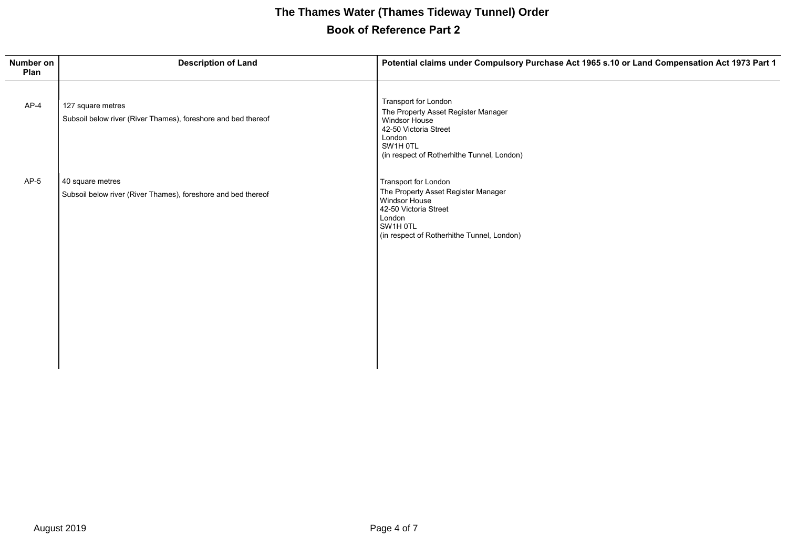# **Book of Reference Part 2 The Thames Water (Thames Tideway Tunnel) Order**

| Number on<br>Plan | <b>Description of Land</b>                                                         | Potential claims under Compulsory Purchase Act 1965 s.10 or Land Compensation Act 1973 Part 1                                                                                    |
|-------------------|------------------------------------------------------------------------------------|----------------------------------------------------------------------------------------------------------------------------------------------------------------------------------|
| $AP-4$            | 127 square metres<br>Subsoil below river (River Thames), foreshore and bed thereof | Transport for London<br>The Property Asset Register Manager<br><b>Windsor House</b><br>42-50 Victoria Street<br>London<br>SW1H OTL<br>(in respect of Rotherhithe Tunnel, London) |
| $AP-5$            | 40 square metres<br>Subsoil below river (River Thames), foreshore and bed thereof  | Transport for London<br>The Property Asset Register Manager<br>Windsor House<br>42-50 Victoria Street<br>London<br>SW1H OTL<br>(in respect of Rotherhithe Tunnel, London)        |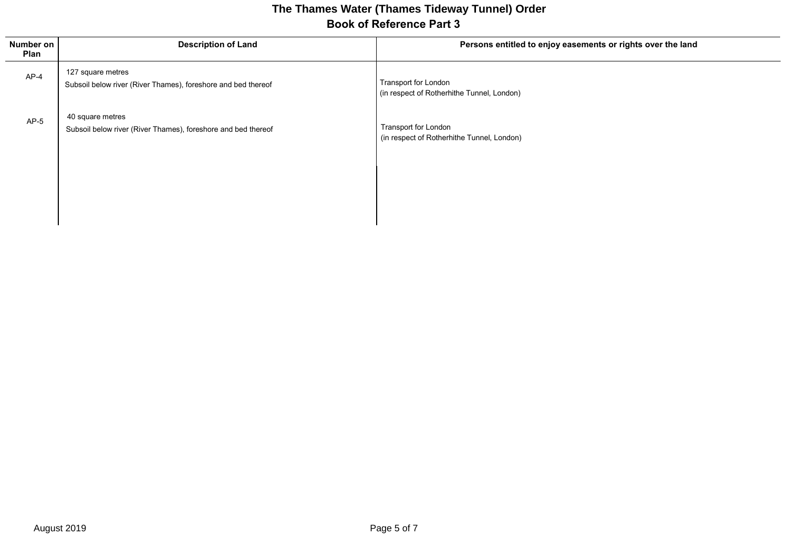### **Book of Reference Part 3 The Thames Water (Thames Tideway Tunnel) Order**

| Number on<br>Plan | <b>Description of Land</b>                                                         | Persons entitled to enjoy easements or rights over the land        |
|-------------------|------------------------------------------------------------------------------------|--------------------------------------------------------------------|
| $AP-4$            | 127 square metres<br>Subsoil below river (River Thames), foreshore and bed thereof | Transport for London<br>(in respect of Rotherhithe Tunnel, London) |
| $AP-5$            | 40 square metres<br>Subsoil below river (River Thames), foreshore and bed thereof  | Transport for London<br>(in respect of Rotherhithe Tunnel, London) |
|                   |                                                                                    |                                                                    |

 $\mathbf{I}$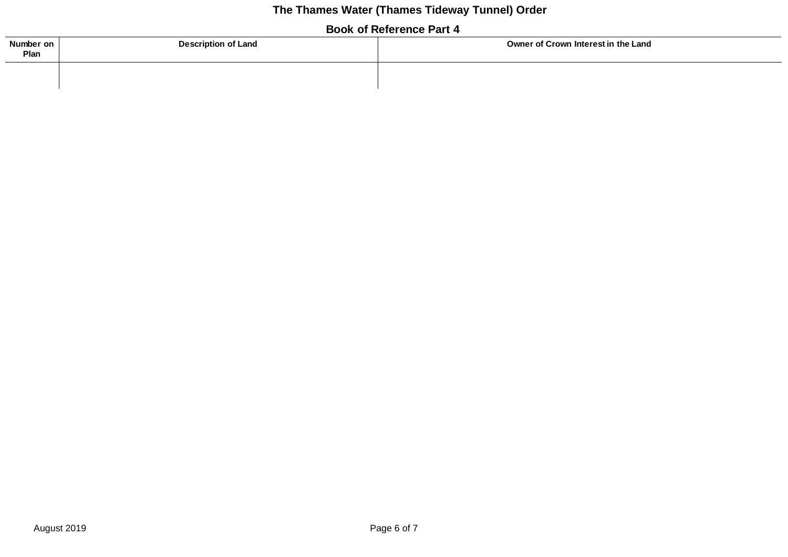# **The Thames Water (Thames Tideway Tunnel) Order**

### **Book of Reference Part 4**

| Number on<br>Plan | <b>Description of Land</b> | Owner of Crown Interest in the Land |  |
|-------------------|----------------------------|-------------------------------------|--|
|                   |                            |                                     |  |